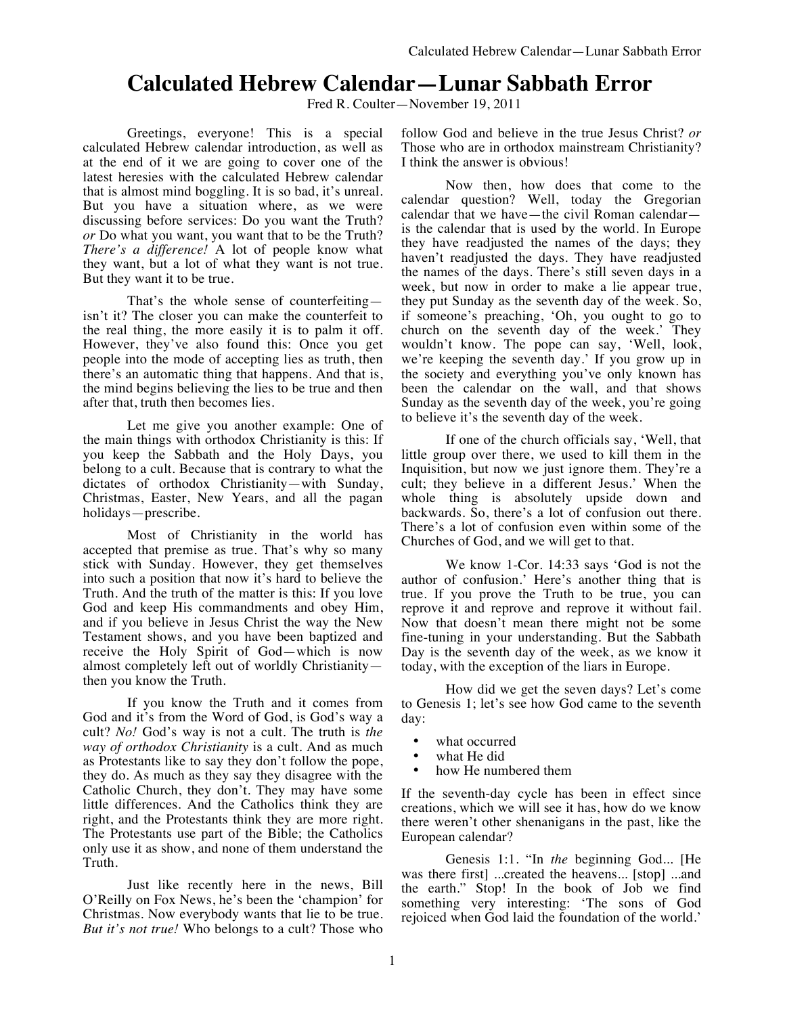# **Calculated Hebrew Calendar—Lunar Sabbath Error**

Fred R. Coulter—November 19, 2011

Greetings, everyone! This is a special calculated Hebrew calendar introduction, as well as at the end of it we are going to cover one of the latest heresies with the calculated Hebrew calendar that is almost mind boggling. It is so bad, it's unreal. But you have a situation where, as we were discussing before services: Do you want the Truth? *or* Do what you want, you want that to be the Truth? *There's a difference!* A lot of people know what they want, but a lot of what they want is not true. But they want it to be true.

That's the whole sense of counterfeiting isn't it? The closer you can make the counterfeit to the real thing, the more easily it is to palm it off. However, they've also found this: Once you get people into the mode of accepting lies as truth, then there's an automatic thing that happens. And that is, the mind begins believing the lies to be true and then after that, truth then becomes lies.

Let me give you another example: One of the main things with orthodox Christianity is this: If you keep the Sabbath and the Holy Days, you belong to a cult. Because that is contrary to what the dictates of orthodox Christianity—with Sunday, Christmas, Easter, New Years, and all the pagan holidays—prescribe.

Most of Christianity in the world has accepted that premise as true. That's why so many stick with Sunday. However, they get themselves into such a position that now it's hard to believe the Truth. And the truth of the matter is this: If you love God and keep His commandments and obey Him, and if you believe in Jesus Christ the way the New Testament shows, and you have been baptized and receive the Holy Spirit of God—which is now almost completely left out of worldly Christianity then you know the Truth.

If you know the Truth and it comes from God and it's from the Word of God, is God's way a cult? *No!* God's way is not a cult. The truth is *the way of orthodox Christianity* is a cult. And as much as Protestants like to say they don't follow the pope, they do. As much as they say they disagree with the Catholic Church, they don't. They may have some little differences. And the Catholics think they are right, and the Protestants think they are more right. The Protestants use part of the Bible; the Catholics only use it as show, and none of them understand the Truth.

Just like recently here in the news, Bill O'Reilly on Fox News, he's been the 'champion' for Christmas. Now everybody wants that lie to be true. *But it's not true!* Who belongs to a cult? Those who

follow God and believe in the true Jesus Christ? *or* Those who are in orthodox mainstream Christianity? I think the answer is obvious!

Now then, how does that come to the calendar question? Well, today the Gregorian calendar that we have—the civil Roman calendar is the calendar that is used by the world. In Europe they have readjusted the names of the days; they haven't readjusted the days. They have readjusted the names of the days. There's still seven days in a week, but now in order to make a lie appear true, they put Sunday as the seventh day of the week. So, if someone's preaching, 'Oh, you ought to go to church on the seventh day of the week.' They wouldn't know. The pope can say, 'Well, look, we're keeping the seventh day.' If you grow up in the society and everything you've only known has been the calendar on the wall, and that shows Sunday as the seventh day of the week, you're going to believe it's the seventh day of the week.

If one of the church officials say, 'Well, that little group over there, we used to kill them in the Inquisition, but now we just ignore them. They're a cult; they believe in a different Jesus.' When the whole thing is absolutely upside down and backwards. So, there's a lot of confusion out there. There's a lot of confusion even within some of the Churches of God, and we will get to that.

We know 1-Cor. 14:33 says 'God is not the author of confusion.' Here's another thing that is true. If you prove the Truth to be true, you can reprove it and reprove and reprove it without fail. Now that doesn't mean there might not be some fine-tuning in your understanding. But the Sabbath Day is the seventh day of the week, as we know it today, with the exception of the liars in Europe.

How did we get the seven days? Let's come to Genesis 1; let's see how God came to the seventh day:

- what occurred
- what He did
- how He numbered them

If the seventh-day cycle has been in effect since creations, which we will see it has, how do we know there weren't other shenanigans in the past, like the European calendar?

Genesis 1:1. "In *the* beginning God... [He was there first] ...created the heavens... [stop] ...and the earth." Stop! In the book of Job we find something very interesting: 'The sons of God rejoiced when God laid the foundation of the world.'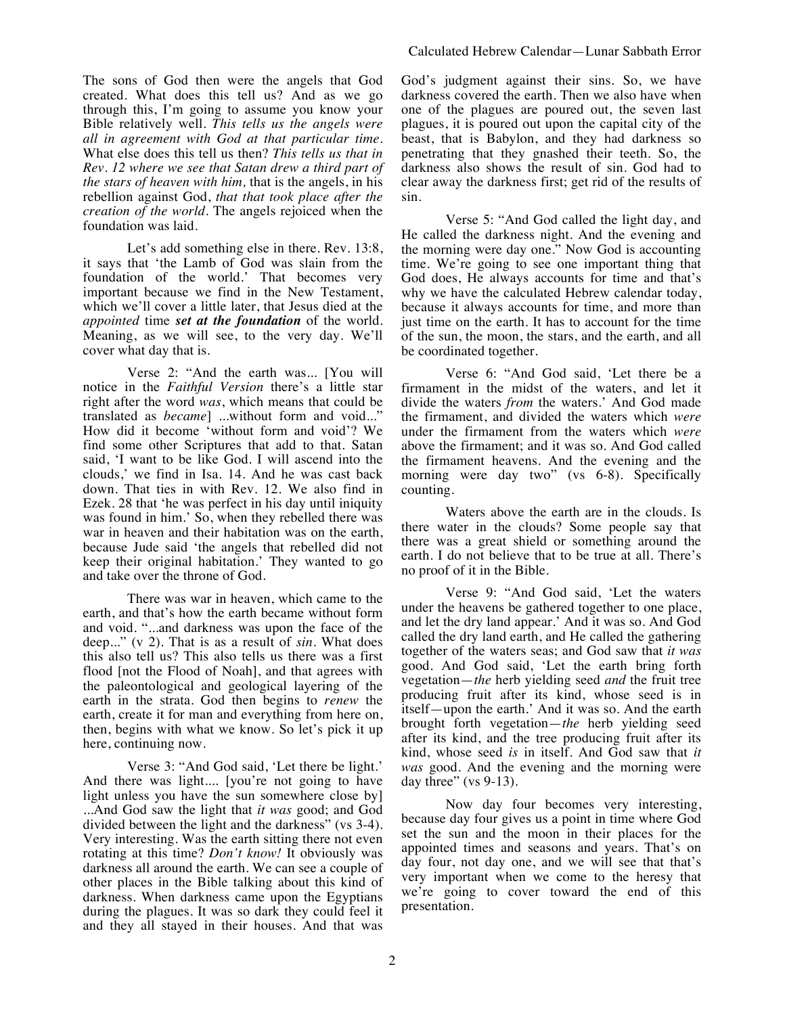The sons of God then were the angels that God created. What does this tell us? And as we go through this, I'm going to assume you know your Bible relatively well. *This tells us the angels were all in agreement with God at that particular time.* What else does this tell us then? *This tells us that in Rev. 12 where we see that Satan drew a third part of the stars of heaven with him,* that is the angels, in his rebellion against God, *that that took place after the creation of the world.* The angels rejoiced when the foundation was laid.

Let's add something else in there. Rev. 13:8, it says that 'the Lamb of God was slain from the foundation of the world.' That becomes very important because we find in the New Testament, which we'll cover a little later, that Jesus died at the *appointed* time *set at the foundation* of the world. Meaning, as we will see, to the very day. We'll cover what day that is.

Verse 2: "And the earth was... [You will notice in the *Faithful Version* there's a little star right after the word *was*, which means that could be translated as *became*] ...without form and void..." How did it become 'without form and void'? We find some other Scriptures that add to that. Satan said, 'I want to be like God. I will ascend into the clouds,' we find in Isa. 14. And he was cast back down. That ties in with Rev. 12. We also find in Ezek. 28 that 'he was perfect in his day until iniquity was found in him.' So, when they rebelled there was war in heaven and their habitation was on the earth, because Jude said 'the angels that rebelled did not keep their original habitation.' They wanted to go and take over the throne of God.

There was war in heaven, which came to the earth, and that's how the earth became without form and void. "...and darkness was upon the face of the deep..." (v 2). That is as a result of *sin.* What does this also tell us? This also tells us there was a first flood [not the Flood of Noah], and that agrees with the paleontological and geological layering of the earth in the strata. God then begins to *renew* the earth, create it for man and everything from here on, then, begins with what we know. So let's pick it up here, continuing now.

Verse 3: "And God said, 'Let there be light.' And there was light.... [you're not going to have light unless you have the sun somewhere close by] ...And God saw the light that *it was* good; and God divided between the light and the darkness" (vs 3-4). Very interesting. Was the earth sitting there not even rotating at this time? *Don't know!* It obviously was darkness all around the earth. We can see a couple of other places in the Bible talking about this kind of darkness. When darkness came upon the Egyptians during the plagues. It was so dark they could feel it and they all stayed in their houses. And that was God's judgment against their sins. So, we have darkness covered the earth. Then we also have when one of the plagues are poured out, the seven last plagues, it is poured out upon the capital city of the beast, that is Babylon, and they had darkness so penetrating that they gnashed their teeth. So, the darkness also shows the result of sin. God had to clear away the darkness first; get rid of the results of sin.

Verse 5: "And God called the light day, and He called the darkness night. And the evening and the morning were day one." Now God is accounting time. We're going to see one important thing that God does, He always accounts for time and that's why we have the calculated Hebrew calendar today, because it always accounts for time, and more than just time on the earth. It has to account for the time of the sun, the moon, the stars, and the earth, and all be coordinated together.

Verse 6: "And God said, 'Let there be a firmament in the midst of the waters, and let it divide the waters *from* the waters.' And God made the firmament, and divided the waters which *were*  under the firmament from the waters which *were*  above the firmament; and it was so. And God called the firmament heavens. And the evening and the morning were day two" (vs 6-8). Specifically counting.

Waters above the earth are in the clouds. Is there water in the clouds? Some people say that there was a great shield or something around the earth. I do not believe that to be true at all. There's no proof of it in the Bible.

Verse 9: "And God said, 'Let the waters under the heavens be gathered together to one place, and let the dry land appear.' And it was so. And God called the dry land earth, and He called the gathering together of the waters seas; and God saw that *it was* good. And God said, 'Let the earth bring forth vegetation—*the* herb yielding seed *and* the fruit tree producing fruit after its kind, whose seed is in itself—upon the earth.' And it was so. And the earth brought forth vegetation—*the* herb yielding seed after its kind, and the tree producing fruit after its kind, whose seed *is* in itself. And God saw that *it was* good. And the evening and the morning were day three" (vs 9-13).

Now day four becomes very interesting, because day four gives us a point in time where God set the sun and the moon in their places for the appointed times and seasons and years. That's on day four, not day one, and we will see that that's very important when we come to the heresy that we're going to cover toward the end of this presentation.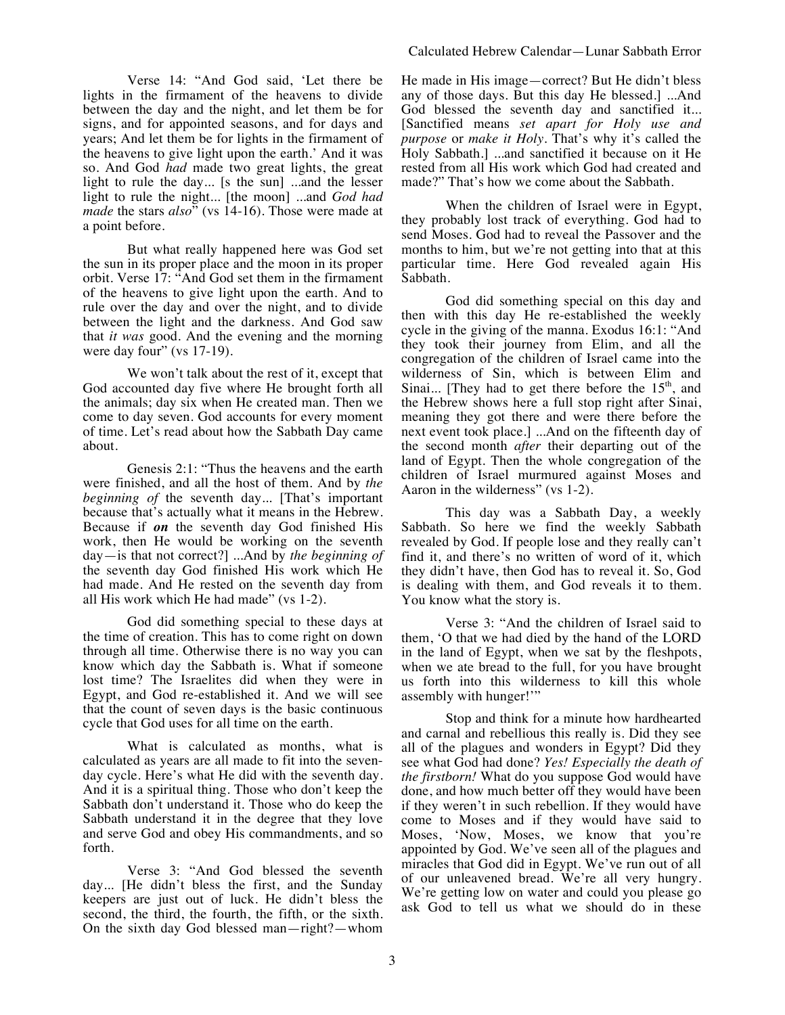Verse 14: "And God said, 'Let there be lights in the firmament of the heavens to divide between the day and the night, and let them be for signs, and for appointed seasons, and for days and years; And let them be for lights in the firmament of the heavens to give light upon the earth.' And it was so. And God *had* made two great lights, the great light to rule the day... [s the sun] ...and the lesser light to rule the night... [the moon] ...and *God had made* the stars *also*" (vs 14-16). Those were made at a point before.

But what really happened here was God set the sun in its proper place and the moon in its proper orbit. Verse 17: "And God set them in the firmament of the heavens to give light upon the earth. And to rule over the day and over the night, and to divide between the light and the darkness. And God saw that *it was* good. And the evening and the morning were day four" (vs 17-19).

We won't talk about the rest of it, except that God accounted day five where He brought forth all the animals; day six when He created man. Then we come to day seven. God accounts for every moment of time. Let's read about how the Sabbath Day came about.

Genesis 2:1: "Thus the heavens and the earth were finished, and all the host of them. And by *the beginning of* the seventh day... [That's important because that's actually what it means in the Hebrew. Because if *on* the seventh day God finished His work, then He would be working on the seventh day—is that not correct?] ...And by *the beginning of* the seventh day God finished His work which He had made. And He rested on the seventh day from all His work which He had made" (vs 1-2).

God did something special to these days at the time of creation. This has to come right on down through all time. Otherwise there is no way you can know which day the Sabbath is. What if someone lost time? The Israelites did when they were in Egypt, and God re-established it. And we will see that the count of seven days is the basic continuous cycle that God uses for all time on the earth.

What is calculated as months, what is calculated as years are all made to fit into the sevenday cycle. Here's what He did with the seventh day. And it is a spiritual thing. Those who don't keep the Sabbath don't understand it. Those who do keep the Sabbath understand it in the degree that they love and serve God and obey His commandments, and so forth.

Verse 3: "And God blessed the seventh day... [He didn't bless the first, and the Sunday keepers are just out of luck. He didn't bless the second, the third, the fourth, the fifth, or the sixth. On the sixth day God blessed man—right?—whom He made in His image—correct? But He didn't bless any of those days. But this day He blessed.] ...And God blessed the seventh day and sanctified it... [Sanctified means *set apart for Holy use and purpose* or *make it Holy*. That's why it's called the Holy Sabbath.] ...and sanctified it because on it He rested from all His work which God had created and made?" That's how we come about the Sabbath.

When the children of Israel were in Egypt, they probably lost track of everything. God had to send Moses. God had to reveal the Passover and the months to him, but we're not getting into that at this particular time. Here God revealed again His Sabbath.

God did something special on this day and then with this day He re-established the weekly cycle in the giving of the manna. Exodus 16:1: "And they took their journey from Elim, and all the congregation of the children of Israel came into the wilderness of Sin, which is between Elim and Sinai... [They had to get there before the  $15<sup>th</sup>$ , and the Hebrew shows here a full stop right after Sinai, meaning they got there and were there before the next event took place.] ...And on the fifteenth day of the second month *after* their departing out of the land of Egypt. Then the whole congregation of the children of Israel murmured against Moses and Aaron in the wilderness" (vs 1-2).

This day was a Sabbath Day, a weekly Sabbath. So here we find the weekly Sabbath revealed by God. If people lose and they really can't find it, and there's no written of word of it, which they didn't have, then God has to reveal it. So, God is dealing with them, and God reveals it to them. You know what the story is.

Verse 3: "And the children of Israel said to them, 'O that we had died by the hand of the LORD in the land of Egypt, when we sat by the fleshpots, when we ate bread to the full, for you have brought us forth into this wilderness to kill this whole assembly with hunger!'"

Stop and think for a minute how hardhearted and carnal and rebellious this really is. Did they see all of the plagues and wonders in Egypt? Did they see what God had done? *Yes! Especially the death of the firstborn!* What do you suppose God would have done, and how much better off they would have been if they weren't in such rebellion. If they would have come to Moses and if they would have said to Moses, 'Now, Moses, we know that you're appointed by God. We've seen all of the plagues and miracles that God did in Egypt. We've run out of all of our unleavened bread. We're all very hungry. We're getting low on water and could you please go ask God to tell us what we should do in these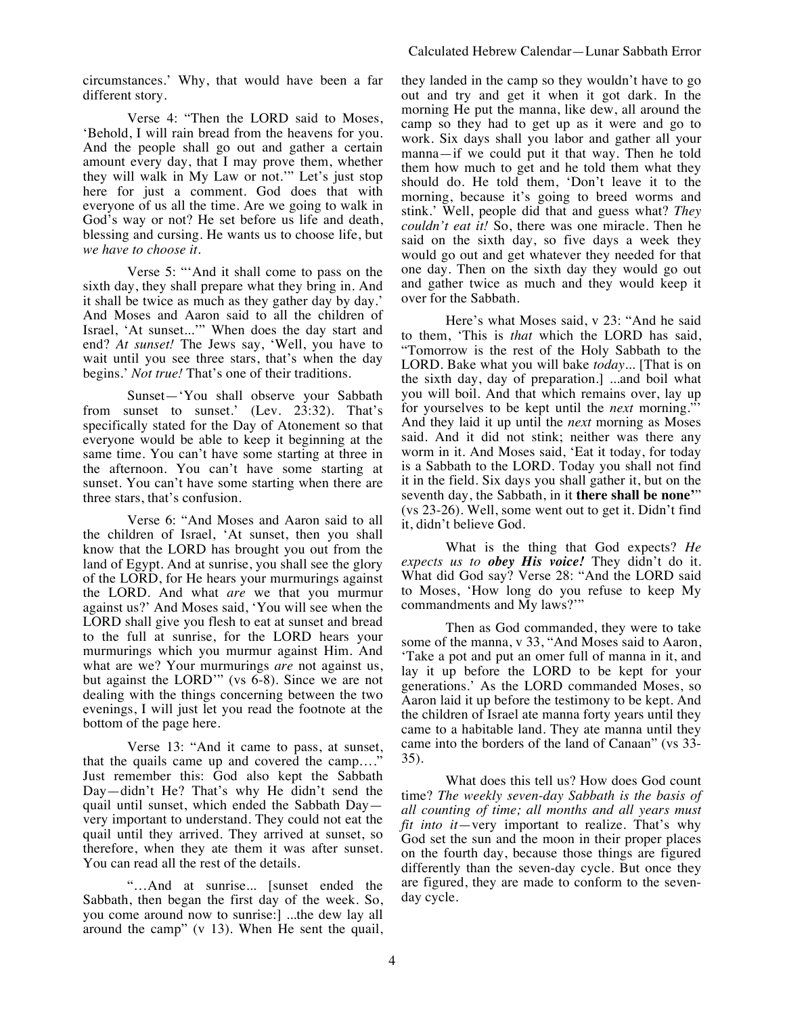circumstances.' Why, that would have been a far different story.

Verse 4: "Then the LORD said to Moses, 'Behold, I will rain bread from the heavens for you. And the people shall go out and gather a certain amount every day, that I may prove them, whether they will walk in My Law or not.'" Let's just stop here for just a comment. God does that with everyone of us all the time. Are we going to walk in God's way or not? He set before us life and death, blessing and cursing. He wants us to choose life, but *we have to choose it*.

Verse 5: "'And it shall come to pass on the sixth day, they shall prepare what they bring in. And it shall be twice as much as they gather day by day.' And Moses and Aaron said to all the children of Israel, 'At sunset...'" When does the day start and end? *At sunset!* The Jews say, 'Well, you have to wait until you see three stars, that's when the day begins.' *Not true!* That's one of their traditions.

Sunset—'You shall observe your Sabbath from sunset to sunset.' (Lev. 23:32). That's specifically stated for the Day of Atonement so that everyone would be able to keep it beginning at the same time. You can't have some starting at three in the afternoon. You can't have some starting at sunset. You can't have some starting when there are three stars, that's confusion.

Verse 6: "And Moses and Aaron said to all the children of Israel, 'At sunset, then you shall know that the LORD has brought you out from the land of Egypt. And at sunrise, you shall see the glory of the LORD, for He hears your murmurings against the LORD. And what *are* we that you murmur against us?' And Moses said, 'You will see when the LORD shall give you flesh to eat at sunset and bread to the full at sunrise, for the LORD hears your murmurings which you murmur against Him. And what are we? Your murmurings *are* not against us, but against the LORD'" (vs 6-8). Since we are not dealing with the things concerning between the two evenings, I will just let you read the footnote at the bottom of the page here.

Verse 13: "And it came to pass, at sunset, that the quails came up and covered the camp…." Just remember this: God also kept the Sabbath Day—didn't He? That's why He didn't send the quail until sunset, which ended the Sabbath Day very important to understand. They could not eat the quail until they arrived. They arrived at sunset, so therefore, when they ate them it was after sunset. You can read all the rest of the details.

"…And at sunrise... [sunset ended the Sabbath, then began the first day of the week. So, you come around now to sunrise:] ...the dew lay all around the camp" (v 13). When He sent the quail, they landed in the camp so they wouldn't have to go out and try and get it when it got dark. In the morning He put the manna, like dew, all around the camp so they had to get up as it were and go to work. Six days shall you labor and gather all your manna—if we could put it that way. Then he told them how much to get and he told them what they should do. He told them, 'Don't leave it to the morning, because it's going to breed worms and stink.' Well, people did that and guess what? *They couldn't eat it!* So, there was one miracle. Then he said on the sixth day, so five days a week they would go out and get whatever they needed for that one day. Then on the sixth day they would go out and gather twice as much and they would keep it over for the Sabbath.

Here's what Moses said, v 23: "And he said to them, 'This is *that* which the LORD has said, "Tomorrow is the rest of the Holy Sabbath to the LORD. Bake what you will bake *today*... [That is on the sixth day, day of preparation.] ...and boil what you will boil. And that which remains over, lay up for yourselves to be kept until the *next* morning."' And they laid it up until the *next* morning as Moses said. And it did not stink; neither was there any worm in it. And Moses said, 'Eat it today, for today is a Sabbath to the LORD. Today you shall not find it in the field. Six days you shall gather it, but on the seventh day, the Sabbath, in it **there shall be none'**" (vs 23-26). Well, some went out to get it. Didn't find it, didn't believe God.

What is the thing that God expects? *He expects us to obey His voice!* They didn't do it. What did God say? Verse 28: "And the LORD said to Moses, 'How long do you refuse to keep My commandments and My laws?'"

Then as God commanded, they were to take some of the manna, v 33, "And Moses said to Aaron, 'Take a pot and put an omer full of manna in it, and lay it up before the LORD to be kept for your generations.' As the LORD commanded Moses, so Aaron laid it up before the testimony to be kept. And the children of Israel ate manna forty years until they came to a habitable land. They ate manna until they came into the borders of the land of Canaan" (vs 33- 35).

What does this tell us? How does God count time? *The weekly seven-day Sabbath is the basis of all counting of time; all months and all years must fit into it*—very important to realize. That's why God set the sun and the moon in their proper places on the fourth day, because those things are figured differently than the seven-day cycle. But once they are figured, they are made to conform to the sevenday cycle.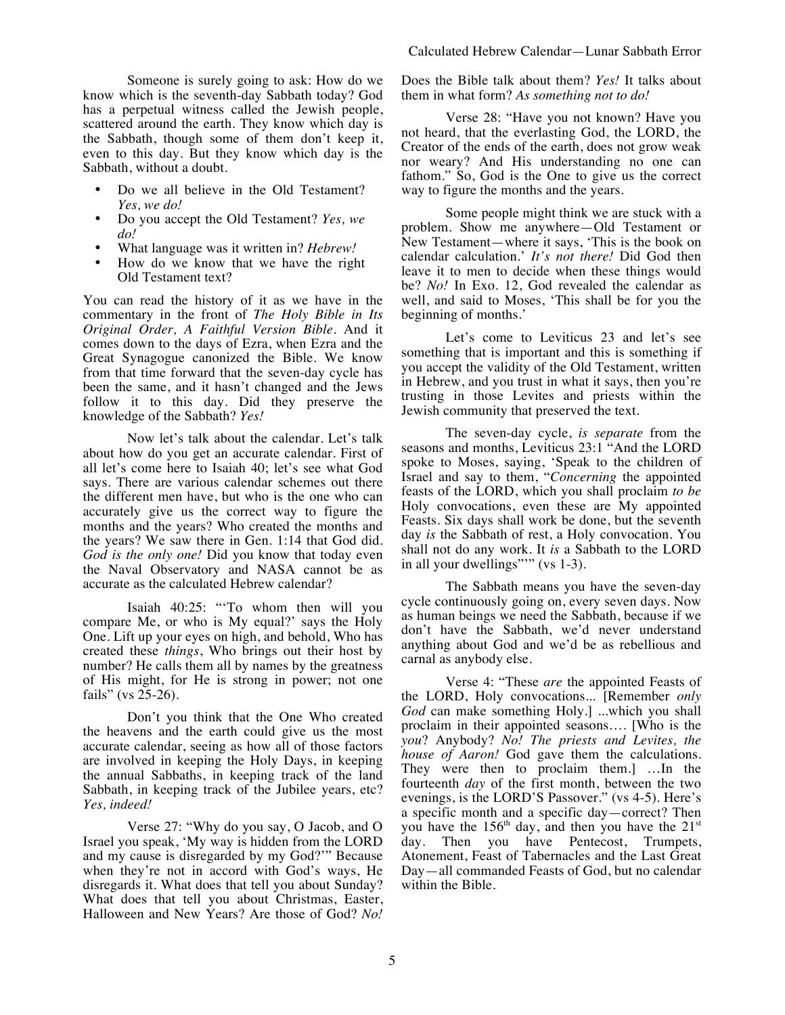Someone is surely going to ask: How do we know which is the seventh-day Sabbath today? God has a perpetual witness called the Jewish people, scattered around the earth. They know which day is the Sabbath, though some of them don't keep it, even to this day. But they know which day is the Sabbath, without a doubt.

- Do we all believe in the Old Testament? *Yes, we do!*
- Do you accept the Old Testament? *Yes, we do!*
- What language was it written in? *Hebrew!*
- How do we know that we have the right Old Testament text?

You can read the history of it as we have in the commentary in the front of *The Holy Bible in Its Original Order, A Faithful Version Bible*. And it comes down to the days of Ezra, when Ezra and the Great Synagogue canonized the Bible. We know from that time forward that the seven-day cycle has been the same, and it hasn't changed and the Jews follow it to this day. Did they preserve the knowledge of the Sabbath? *Yes!*

Now let's talk about the calendar. Let's talk about how do you get an accurate calendar. First of all let's come here to Isaiah 40; let's see what God says. There are various calendar schemes out there the different men have, but who is the one who can accurately give us the correct way to figure the months and the years? Who created the months and the years? We saw there in Gen. 1:14 that God did. *God is the only one!* Did you know that today even the Naval Observatory and NASA cannot be as accurate as the calculated Hebrew calendar?

Isaiah 40:25: "'To whom then will you compare Me, or who is My equal?' says the Holy One. Lift up your eyes on high, and behold, Who has created these *things*, Who brings out their host by number? He calls them all by names by the greatness of His might, for He is strong in power; not one fails" (vs 25-26).

Don't you think that the One Who created the heavens and the earth could give us the most accurate calendar, seeing as how all of those factors are involved in keeping the Holy Days, in keeping the annual Sabbaths, in keeping track of the land Sabbath, in keeping track of the Jubilee years, etc? *Yes, indeed!*

Verse 27: "Why do you say, O Jacob, and O Israel you speak, 'My way is hidden from the LORD and my cause is disregarded by my God?'" Because when they're not in accord with God's ways, He disregards it. What does that tell you about Sunday? What does that tell you about Christmas, Easter, Halloween and New Years? Are those of God? *No!* Does the Bible talk about them? *Yes!* It talks about them in what form? *As something not to do!*

Verse 28: "Have you not known? Have you not heard, that the everlasting God, the LORD, the Creator of the ends of the earth, does not grow weak nor weary? And His understanding no one can fathom." So, God is the One to give us the correct way to figure the months and the years.

Some people might think we are stuck with a problem. Show me anywhere—Old Testament or New Testament—where it says, 'This is the book on calendar calculation.' *It's not there!* Did God then leave it to men to decide when these things would be? *No!* In Exo. 12, God revealed the calendar as well, and said to Moses, 'This shall be for you the beginning of months.'

Let's come to Leviticus 23 and let's see something that is important and this is something if you accept the validity of the Old Testament, written in Hebrew, and you trust in what it says, then you're trusting in those Levites and priests within the Jewish community that preserved the text.

The seven-day cycle, *is separate* from the seasons and months, Leviticus 23:1 "And the LORD spoke to Moses, saying, 'Speak to the children of Israel and say to them, "*Concerning* the appointed feasts of the LORD, which you shall proclaim *to be* Holy convocations, even these are My appointed Feasts. Six days shall work be done, but the seventh day *is* the Sabbath of rest, a Holy convocation. You shall not do any work. It *is* a Sabbath to the LORD in all your dwellings"" (vs 1-3).

The Sabbath means you have the seven-day cycle continuously going on, every seven days. Now as human beings we need the Sabbath, because if we don't have the Sabbath, we'd never understand anything about God and we'd be as rebellious and carnal as anybody else.

Verse 4: "These *are* the appointed Feasts of the LORD, Holy convocations... [Remember *only God* can make something Holy.] ...which you shall proclaim in their appointed seasons…. [Who is the *you*? Anybody? *No! The priests and Levites, the house of Aaron!* God gave them the calculations. They were then to proclaim them.] …In the fourteenth *day* of the first month, between the two evenings, is the LORD'S Passover." (vs 4-5). Here's a specific month and a specific day—correct? Then you have the  $156<sup>th</sup>$  day, and then you have the  $21<sup>st</sup>$ day. Then you have Pentecost, Trumpets, Atonement, Feast of Tabernacles and the Last Great Day—all commanded Feasts of God, but no calendar within the Bible.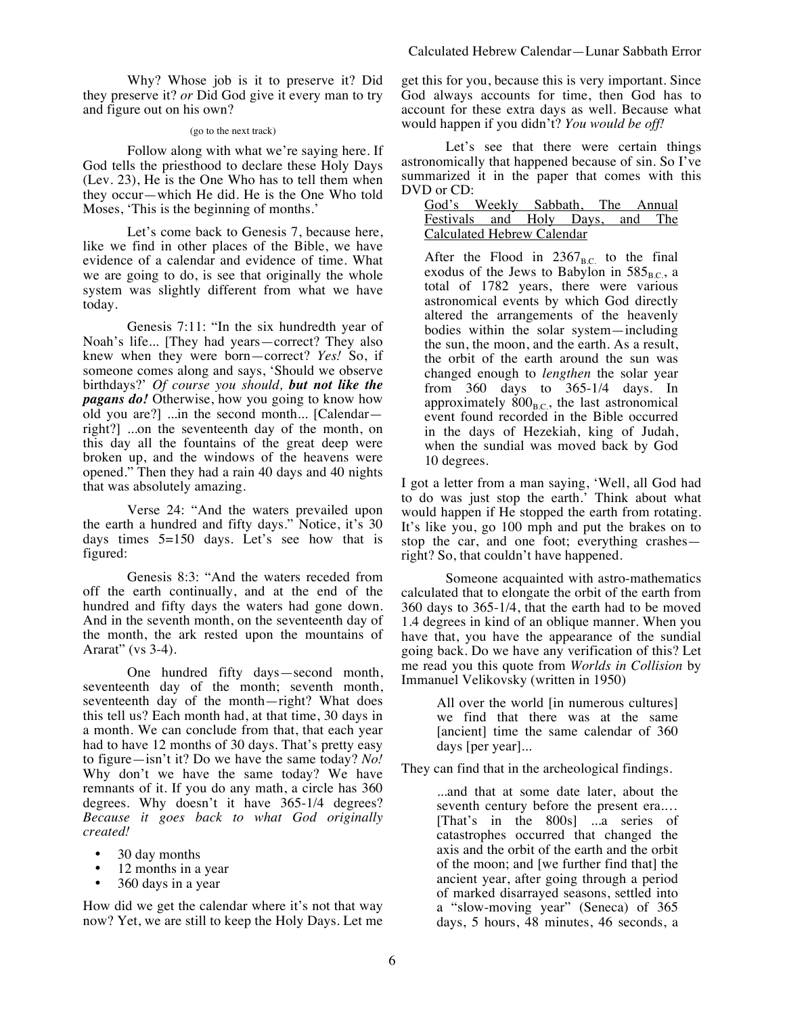Why? Whose job is it to preserve it? Did they preserve it? *or* Did God give it every man to try and figure out on his own?

### (go to the next track)

Follow along with what we're saying here. If God tells the priesthood to declare these Holy Days (Lev. 23), He is the One Who has to tell them when they occur—which He did. He is the One Who told Moses, 'This is the beginning of months.'

Let's come back to Genesis 7, because here, like we find in other places of the Bible, we have evidence of a calendar and evidence of time. What we are going to do, is see that originally the whole system was slightly different from what we have today.

Genesis 7:11: "In the six hundredth year of Noah's life... [They had years—correct? They also knew when they were born—correct? *Yes!* So, if someone comes along and says, 'Should we observe birthdays?' *Of course you should, but not like the pagans do!* Otherwise, how you going to know how old you are?] ...in the second month... [Calendar right?] ...on the seventeenth day of the month, on this day all the fountains of the great deep were broken up, and the windows of the heavens were opened." Then they had a rain 40 days and 40 nights that was absolutely amazing.

Verse 24: "And the waters prevailed upon the earth a hundred and fifty days." Notice, it's 30 days times 5=150 days. Let's see how that is figured:

Genesis 8:3: "And the waters receded from off the earth continually, and at the end of the hundred and fifty days the waters had gone down. And in the seventh month, on the seventeenth day of the month, the ark rested upon the mountains of Ararat" (vs 3-4).

One hundred fifty days—second month, seventeenth day of the month; seventh month, seventeenth day of the month—right? What does this tell us? Each month had, at that time, 30 days in a month. We can conclude from that, that each year had to have 12 months of 30 days. That's pretty easy to figure—isn't it? Do we have the same today? *No!* Why don't we have the same today? We have remnants of it. If you do any math, a circle has 360 degrees. Why doesn't it have 365-1/4 degrees? *Because it goes back to what God originally created!*

- 30 day months
- 12 months in a year
- 360 days in a year

How did we get the calendar where it's not that way now? Yet, we are still to keep the Holy Days. Let me get this for you, because this is very important. Since God always accounts for time, then God has to account for these extra days as well. Because what would happen if you didn't? *You would be off!*

Let's see that there were certain things astronomically that happened because of sin. So I've summarized it in the paper that comes with this DVD or CD:

|                            | God's Weekly Sabbath, The Annual |  |  |  |  |  |
|----------------------------|----------------------------------|--|--|--|--|--|
|                            | Festivals and Holy Days, and The |  |  |  |  |  |
| Calculated Hebrew Calendar |                                  |  |  |  |  |  |

After the Flood in  $2367<sub>B.C.</sub>$  to the final exodus of the Jews to Babylon in  $585_{B.C.}$ , a total of 1782 years, there were various astronomical events by which God directly altered the arrangements of the heavenly bodies within the solar system—including the sun, the moon, and the earth. As a result, the orbit of the earth around the sun was changed enough to *lengthen* the solar year from 360 days to 365-1/4 days. In approximately  $800<sub>B.C.</sub>$ , the last astronomical event found recorded in the Bible occurred in the days of Hezekiah, king of Judah, when the sundial was moved back by God 10 degrees.

I got a letter from a man saying, 'Well, all God had to do was just stop the earth.' Think about what would happen if He stopped the earth from rotating. It's like you, go 100 mph and put the brakes on to stop the car, and one foot; everything crashes right? So, that couldn't have happened.

Someone acquainted with astro-mathematics calculated that to elongate the orbit of the earth from 360 days to 365-1/4, that the earth had to be moved 1.4 degrees in kind of an oblique manner. When you have that, you have the appearance of the sundial going back. Do we have any verification of this? Let me read you this quote from *Worlds in Collision* by Immanuel Velikovsky (written in 1950)

> All over the world [in numerous cultures] we find that there was at the same [ancient] time the same calendar of 360 days [per year]...

They can find that in the archeological findings.

...and that at some date later, about the seventh century before the present era.… [That's in the 800s] ...a series of catastrophes occurred that changed the axis and the orbit of the earth and the orbit of the moon; and [we further find that] the ancient year, after going through a period of marked disarrayed seasons, settled into a "slow-moving year" (Seneca) of 365 days, 5 hours, 48 minutes, 46 seconds, a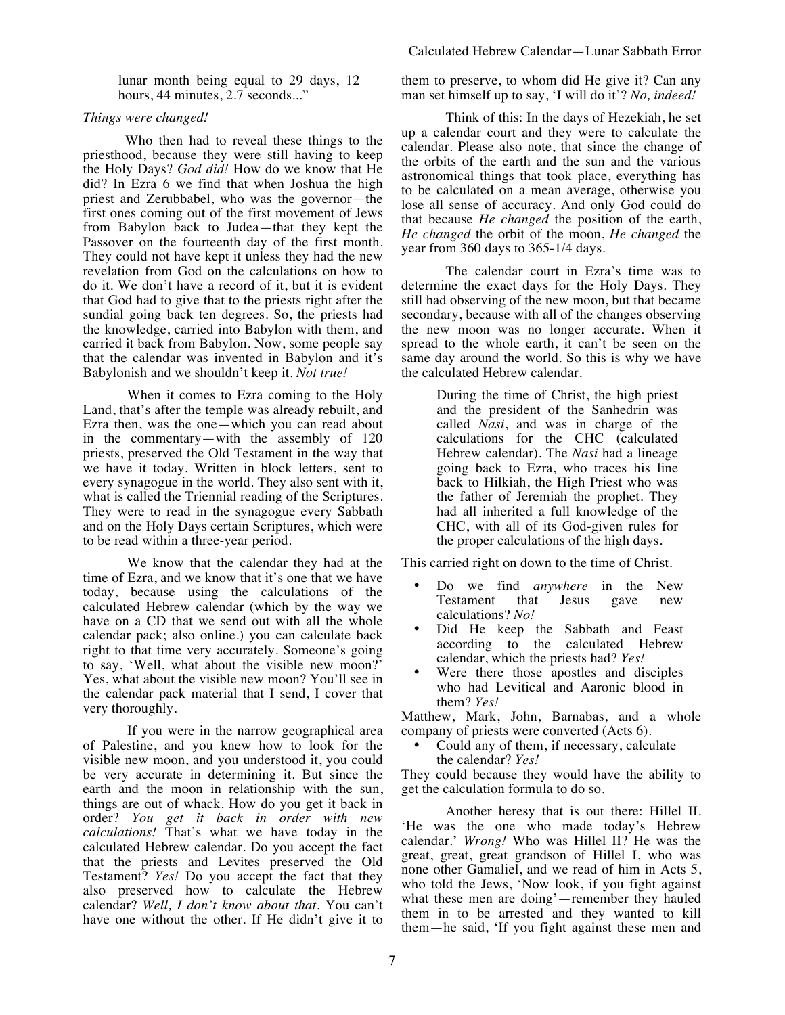lunar month being equal to 29 days, 12 hours, 44 minutes, 2.7 seconds..."

# *Things were changed!*

Who then had to reveal these things to the priesthood, because they were still having to keep the Holy Days? *God did!* How do we know that He did? In Ezra 6 we find that when Joshua the high priest and Zerubbabel, who was the governor—the first ones coming out of the first movement of Jews from Babylon back to Judea—that they kept the Passover on the fourteenth day of the first month. They could not have kept it unless they had the new revelation from God on the calculations on how to do it. We don't have a record of it, but it is evident that God had to give that to the priests right after the sundial going back ten degrees. So, the priests had the knowledge, carried into Babylon with them, and carried it back from Babylon. Now, some people say that the calendar was invented in Babylon and it's Babylonish and we shouldn't keep it. *Not true!*

When it comes to Ezra coming to the Holy Land, that's after the temple was already rebuilt, and Ezra then, was the one—which you can read about in the commentary—with the assembly of 120 priests, preserved the Old Testament in the way that we have it today. Written in block letters, sent to every synagogue in the world. They also sent with it, what is called the Triennial reading of the Scriptures. They were to read in the synagogue every Sabbath and on the Holy Days certain Scriptures, which were to be read within a three-year period.

We know that the calendar they had at the time of Ezra, and we know that it's one that we have today, because using the calculations of the calculated Hebrew calendar (which by the way we have on a CD that we send out with all the whole calendar pack; also online.) you can calculate back right to that time very accurately. Someone's going to say, 'Well, what about the visible new moon?' Yes, what about the visible new moon? You'll see in the calendar pack material that I send, I cover that very thoroughly.

If you were in the narrow geographical area of Palestine, and you knew how to look for the visible new moon, and you understood it, you could be very accurate in determining it. But since the earth and the moon in relationship with the sun, things are out of whack. How do you get it back in order? *You get it back in order with new calculations!* That's what we have today in the calculated Hebrew calendar. Do you accept the fact that the priests and Levites preserved the Old Testament? *Yes!* Do you accept the fact that they also preserved how to calculate the Hebrew calendar? *Well, I don't know about that.* You can't have one without the other. If He didn't give it to

them to preserve, to whom did He give it? Can any man set himself up to say, 'I will do it'? *No, indeed!*

Think of this: In the days of Hezekiah, he set up a calendar court and they were to calculate the calendar. Please also note, that since the change of the orbits of the earth and the sun and the various astronomical things that took place, everything has to be calculated on a mean average, otherwise you lose all sense of accuracy. And only God could do that because *He changed* the position of the earth, *He changed* the orbit of the moon, *He changed* the year from 360 days to 365-1/4 days.

The calendar court in Ezra's time was to determine the exact days for the Holy Days. They still had observing of the new moon, but that became secondary, because with all of the changes observing the new moon was no longer accurate. When it spread to the whole earth, it can't be seen on the same day around the world. So this is why we have the calculated Hebrew calendar.

> During the time of Christ, the high priest and the president of the Sanhedrin was called *Nasi*, and was in charge of the calculations for the CHC (calculated Hebrew calendar). The *Nasi* had a lineage going back to Ezra, who traces his line back to Hilkiah, the High Priest who was the father of Jeremiah the prophet. They had all inherited a full knowledge of the CHC, with all of its God-given rules for the proper calculations of the high days.

This carried right on down to the time of Christ.

- Do we find *anywhere* in the New Testament that Jesus gave new calculations? *No!*
- Did He keep the Sabbath and Feast according to the calculated Hebrew calendar, which the priests had? *Yes!*
- Were there those apostles and disciples who had Levitical and Aaronic blood in them? *Yes!*

Matthew, Mark, John, Barnabas, and a whole company of priests were converted (Acts 6).

• Could any of them, if necessary, calculate the calendar? *Yes!*

They could because they would have the ability to get the calculation formula to do so.

Another heresy that is out there: Hillel II. 'He was the one who made today's Hebrew calendar.' *Wrong!* Who was Hillel II? He was the great, great, great grandson of Hillel I, who was none other Gamaliel, and we read of him in Acts 5, who told the Jews, 'Now look, if you fight against what these men are doing'—remember they hauled them in to be arrested and they wanted to kill them—he said, 'If you fight against these men and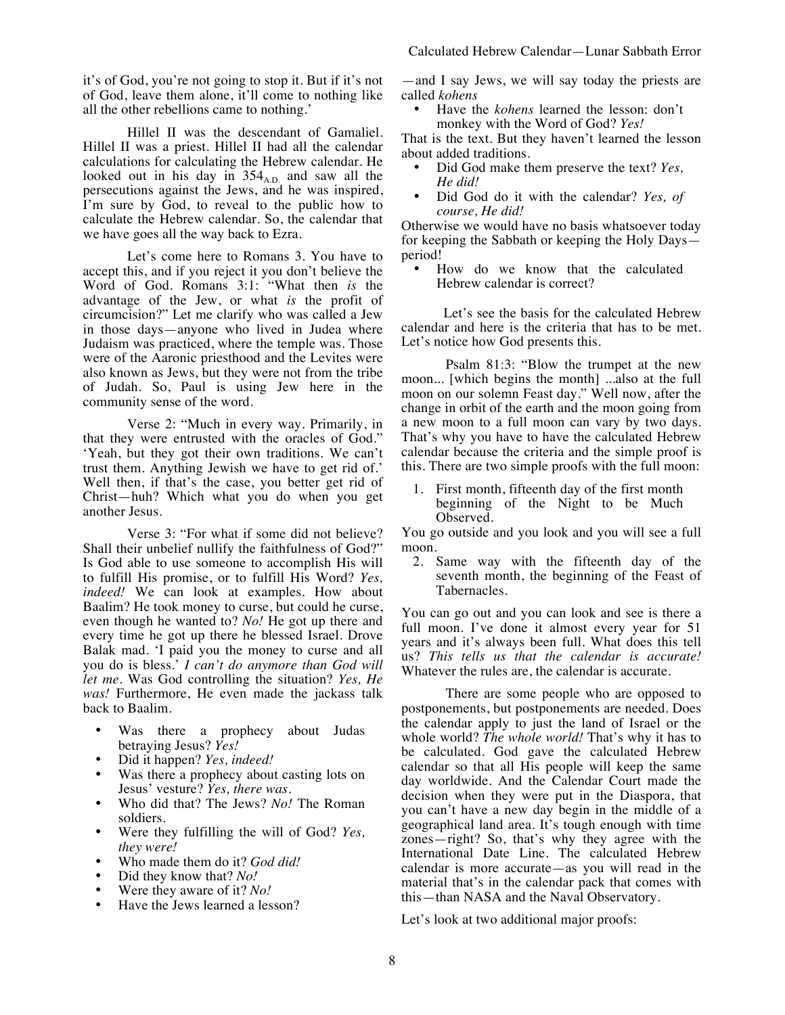it's of God, you're not going to stop it. But if it's not of God, leave them alone, it'll come to nothing like all the other rebellions came to nothing.'

Hillel II was the descendant of Gamaliel. Hillel II was a priest. Hillel II had all the calendar calculations for calculating the Hebrew calendar. He looked out in his day in  $354<sub>A,D</sub>$  and saw all the persecutions against the Jews, and he was inspired, I'm sure by God, to reveal to the public how to calculate the Hebrew calendar. So, the calendar that we have goes all the way back to Ezra.

Let's come here to Romans 3. You have to accept this, and if you reject it you don't believe the Word of God. Romans 3:1: "What then *is* the advantage of the Jew, or what *is* the profit of circumcision?" Let me clarify who was called a Jew in those days—anyone who lived in Judea where Judaism was practiced, where the temple was. Those were of the Aaronic priesthood and the Levites were also known as Jews, but they were not from the tribe of Judah. So, Paul is using Jew here in the community sense of the word.

Verse 2: "Much in every way. Primarily, in that they were entrusted with the oracles of God." 'Yeah, but they got their own traditions. We can't trust them. Anything Jewish we have to get rid of.' Well then, if that's the case, you better get rid of Christ—huh? Which what you do when you get another Jesus.

Verse 3: "For what if some did not believe? Shall their unbelief nullify the faithfulness of God?" Is God able to use someone to accomplish His will to fulfill His promise, or to fulfill His Word? *Yes, indeed!* We can look at examples. How about Baalim? He took money to curse, but could he curse, even though he wanted to? *No!* He got up there and every time he got up there he blessed Israel. Drove Balak mad. 'I paid you the money to curse and all you do is bless.' *I can't do anymore than God will let me*. Was God controlling the situation? *Yes, He was!* Furthermore, He even made the jackass talk back to Baalim.

- Was there a prophecy about Judas betraying Jesus? *Yes!*
- Did it happen? *Yes, indeed!*
- Was there a prophecy about casting lots on Jesus' vesture? *Yes, there was.*
- Who did that? The Jews? *No!* The Roman soldiers.
- Were they fulfilling the will of God? *Yes, they were!*
- Who made them do it? *God did!*
- Did they know that? *No!*
- Were they aware of it? *No!*
- Have the Jews learned a lesson?

—and I say Jews, we will say today the priests are called *kohens*

• Have the *kohens* learned the lesson: don't monkey with the Word of God? *Yes!*

That is the text. But they haven't learned the lesson about added traditions.

- Did God make them preserve the text? *Yes, He did!*
- Did God do it with the calendar? *Yes, of course, He did!*

Otherwise we would have no basis whatsoever today for keeping the Sabbath or keeping the Holy Days period!

How do we know that the calculated Hebrew calendar is correct?

Let's see the basis for the calculated Hebrew calendar and here is the criteria that has to be met. Let's notice how God presents this.

Psalm 81:3: "Blow the trumpet at the new moon... [which begins the month] ...also at the full moon on our solemn Feast day." Well now, after the change in orbit of the earth and the moon going from a new moon to a full moon can vary by two days. That's why you have to have the calculated Hebrew calendar because the criteria and the simple proof is this. There are two simple proofs with the full moon:

1. First month, fifteenth day of the first month beginning of the Night to be Much Observed.

You go outside and you look and you will see a full moon.

2. Same way with the fifteenth day of the seventh month, the beginning of the Feast of Tabernacles.

You can go out and you can look and see is there a full moon. I've done it almost every year for 51 years and it's always been full. What does this tell us? *This tells us that the calendar is accurate!* Whatever the rules are, the calendar is accurate.

There are some people who are opposed to postponements, but postponements are needed. Does the calendar apply to just the land of Israel or the whole world? *The whole world!* That's why it has to be calculated. God gave the calculated Hebrew calendar so that all His people will keep the same day worldwide. And the Calendar Court made the decision when they were put in the Diaspora, that you can't have a new day begin in the middle of a geographical land area. It's tough enough with time zones—right? So, that's why they agree with the International Date Line. The calculated Hebrew calendar is more accurate—as you will read in the material that's in the calendar pack that comes with this—than NASA and the Naval Observatory.

Let's look at two additional major proofs: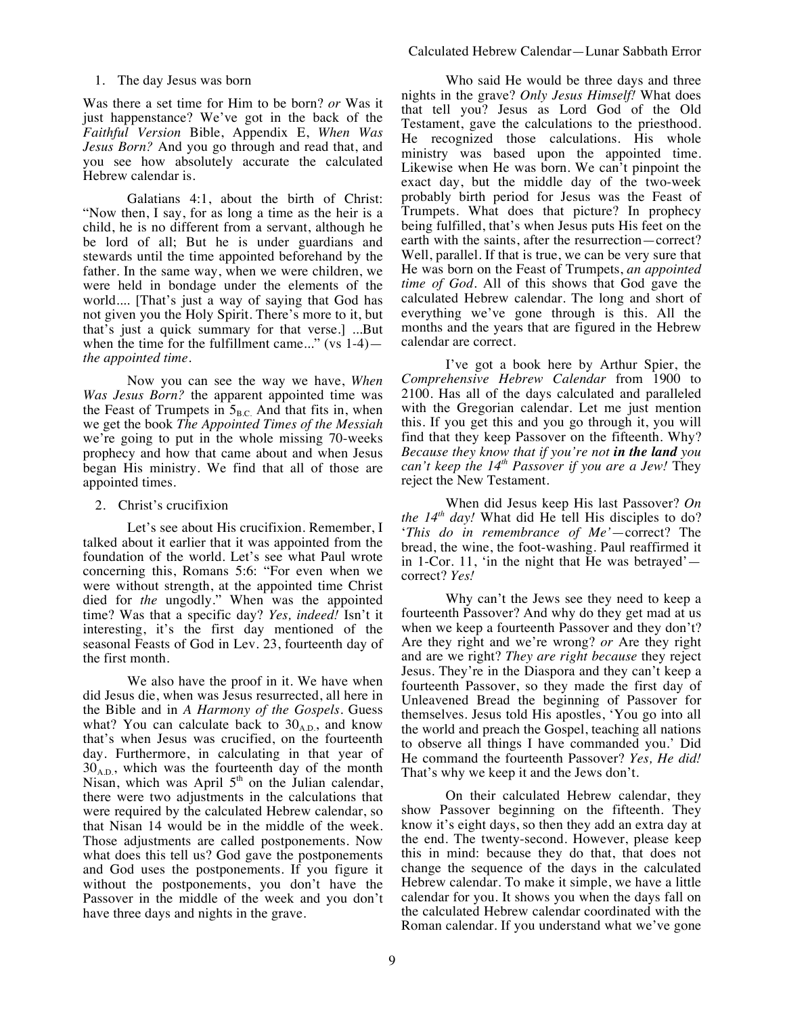Was there a set time for Him to be born? *or* Was it just happenstance? We've got in the back of the *Faithful Version* Bible, Appendix E, *When Was Jesus Born?* And you go through and read that, and you see how absolutely accurate the calculated Hebrew calendar is.

Galatians 4:1, about the birth of Christ: "Now then, I say, for as long a time as the heir is a child, he is no different from a servant, although he be lord of all; But he is under guardians and stewards until the time appointed beforehand by the father. In the same way, when we were children, we were held in bondage under the elements of the world.... [That's just a way of saying that God has not given you the Holy Spirit. There's more to it, but that's just a quick summary for that verse.] ...But when the time for the fulfillment came..." (vs 1-4) *the appointed time*.

Now you can see the way we have, *When Was Jesus Born?* the apparent appointed time was the Feast of Trumpets in  $5<sub>B.C.</sub>$  And that fits in, when we get the book *The Appointed Times of the Messiah* we're going to put in the whole missing 70-weeks prophecy and how that came about and when Jesus began His ministry. We find that all of those are appointed times.

#### 2. Christ's crucifixion

Let's see about His crucifixion. Remember, I talked about it earlier that it was appointed from the foundation of the world. Let's see what Paul wrote concerning this, Romans 5:6: "For even when we were without strength, at the appointed time Christ died for *the* ungodly." When was the appointed time? Was that a specific day? *Yes, indeed!* Isn't it interesting, it's the first day mentioned of the seasonal Feasts of God in Lev. 23, fourteenth day of the first month.

We also have the proof in it. We have when did Jesus die, when was Jesus resurrected, all here in the Bible and in *A Harmony of the Gospels*. Guess what? You can calculate back to  $30_{A,D}$ , and know that's when Jesus was crucified, on the fourteenth day. Furthermore, in calculating in that year of  $30<sub>AD</sub>$ , which was the fourteenth day of the month Nisan, which was April  $5<sup>th</sup>$  on the Julian calendar, there were two adjustments in the calculations that were required by the calculated Hebrew calendar, so that Nisan 14 would be in the middle of the week. Those adjustments are called postponements. Now what does this tell us? God gave the postponements and God uses the postponements. If you figure it without the postponements, you don't have the Passover in the middle of the week and you don't have three days and nights in the grave.

Who said He would be three days and three nights in the grave? *Only Jesus Himself!* What does that tell you? Jesus as Lord God of the Old Testament, gave the calculations to the priesthood. He recognized those calculations. His whole ministry was based upon the appointed time. Likewise when He was born. We can't pinpoint the exact day, but the middle day of the two-week probably birth period for Jesus was the Feast of Trumpets. What does that picture? In prophecy being fulfilled, that's when Jesus puts His feet on the earth with the saints, after the resurrection—correct? Well, parallel. If that is true, we can be very sure that He was born on the Feast of Trumpets, *an appointed time of God.* All of this shows that God gave the calculated Hebrew calendar. The long and short of everything we've gone through is this. All the months and the years that are figured in the Hebrew calendar are correct.

I've got a book here by Arthur Spier, the *Comprehensive Hebrew Calendar* from 1900 to 2100. Has all of the days calculated and paralleled with the Gregorian calendar. Let me just mention this. If you get this and you go through it, you will find that they keep Passover on the fifteenth. Why? *Because they know that if you're not in the land you can't keep the 14th Passover if you are a Jew!* They reject the New Testament.

When did Jesus keep His last Passover? *On*  the 14<sup>th</sup> day! What did He tell His disciples to do? '*This do in remembrance of Me'*—correct? The bread, the wine, the foot-washing. Paul reaffirmed it in 1-Cor. 11, 'in the night that He was betrayed' correct? *Yes!*

Why can't the Jews see they need to keep a fourteenth Passover? And why do they get mad at us when we keep a fourteenth Passover and they don't? Are they right and we're wrong? *or* Are they right and are we right? *They are right because* they reject Jesus. They're in the Diaspora and they can't keep a fourteenth Passover, so they made the first day of Unleavened Bread the beginning of Passover for themselves. Jesus told His apostles, 'You go into all the world and preach the Gospel, teaching all nations to observe all things I have commanded you.' Did He command the fourteenth Passover? *Yes, He did!* That's why we keep it and the Jews don't.

On their calculated Hebrew calendar, they show Passover beginning on the fifteenth. They know it's eight days, so then they add an extra day at the end. The twenty-second. However, please keep this in mind: because they do that, that does not change the sequence of the days in the calculated Hebrew calendar. To make it simple, we have a little calendar for you. It shows you when the days fall on the calculated Hebrew calendar coordinated with the Roman calendar. If you understand what we've gone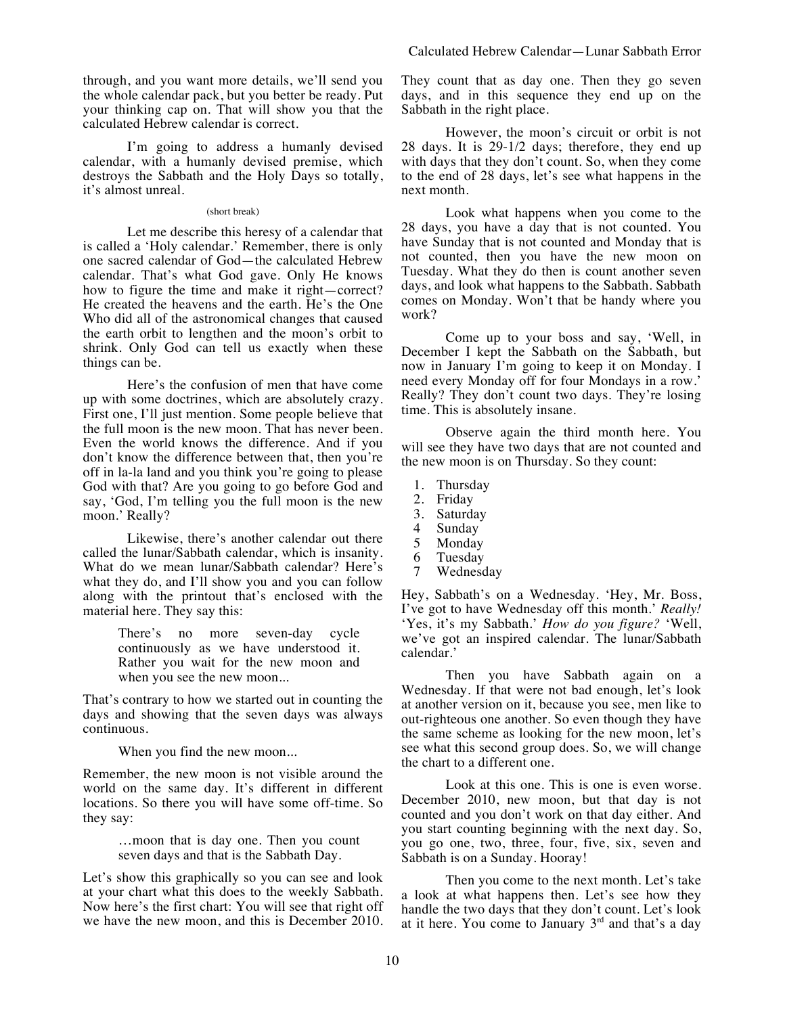I'm going to address a humanly devised calendar, with a humanly devised premise, which destroys the Sabbath and the Holy Days so totally, it's almost unreal.

# (short break)

Let me describe this heresy of a calendar that is called a 'Holy calendar.' Remember, there is only one sacred calendar of God—the calculated Hebrew calendar. That's what God gave. Only He knows how to figure the time and make it right—correct? He created the heavens and the earth. He's the One Who did all of the astronomical changes that caused the earth orbit to lengthen and the moon's orbit to shrink. Only God can tell us exactly when these things can be.

Here's the confusion of men that have come up with some doctrines, which are absolutely crazy. First one, I'll just mention. Some people believe that the full moon is the new moon. That has never been. Even the world knows the difference. And if you don't know the difference between that, then you're off in la-la land and you think you're going to please God with that? Are you going to go before God and say, 'God, I'm telling you the full moon is the new moon.' Really?

Likewise, there's another calendar out there called the lunar/Sabbath calendar, which is insanity. What do we mean lunar/Sabbath calendar? Here's what they do, and I'll show you and you can follow along with the printout that's enclosed with the material here. They say this:

> There's no more seven-day cycle continuously as we have understood it. Rather you wait for the new moon and when you see the new moon...

That's contrary to how we started out in counting the days and showing that the seven days was always continuous.

When you find the new moon...

Remember, the new moon is not visible around the world on the same day. It's different in different locations. So there you will have some off-time. So they say:

> …moon that is day one. Then you count seven days and that is the Sabbath Day.

Let's show this graphically so you can see and look at your chart what this does to the weekly Sabbath. Now here's the first chart: You will see that right off we have the new moon, and this is December 2010. They count that as day one. Then they go seven days, and in this sequence they end up on the Sabbath in the right place.

However, the moon's circuit or orbit is not 28 days. It is 29-1/2 days; therefore, they end up with days that they don't count. So, when they come to the end of 28 days, let's see what happens in the next month.

Look what happens when you come to the 28 days, you have a day that is not counted. You have Sunday that is not counted and Monday that is not counted, then you have the new moon on Tuesday. What they do then is count another seven days, and look what happens to the Sabbath. Sabbath comes on Monday. Won't that be handy where you work?

Come up to your boss and say, 'Well, in December I kept the Sabbath on the Sabbath, but now in January I'm going to keep it on Monday. I need every Monday off for four Mondays in a row.' Really? They don't count two days. They're losing time. This is absolutely insane.

Observe again the third month here. You will see they have two days that are not counted and the new moon is on Thursday. So they count:

- 1. Thursday
- 2. Friday
- 
- 3. Saturday
- 4 Sunday<br>5 Monday **Monday**
- 
- 6 Tuesday<br>7 Wedneso Wednesday

Hey, Sabbath's on a Wednesday. 'Hey, Mr. Boss, I've got to have Wednesday off this month.' *Really!* 'Yes, it's my Sabbath.' *How do you figure?* 'Well, we've got an inspired calendar. The lunar/Sabbath calendar.'

Then you have Sabbath again on a Wednesday. If that were not bad enough, let's look at another version on it, because you see, men like to out-righteous one another. So even though they have the same scheme as looking for the new moon, let's see what this second group does. So, we will change the chart to a different one.

Look at this one. This is one is even worse. December 2010, new moon, but that day is not counted and you don't work on that day either. And you start counting beginning with the next day. So, you go one, two, three, four, five, six, seven and Sabbath is on a Sunday. Hooray!

Then you come to the next month. Let's take a look at what happens then. Let's see how they handle the two days that they don't count. Let's look at it here. You come to January  $3<sup>rd</sup>$  and that's a day